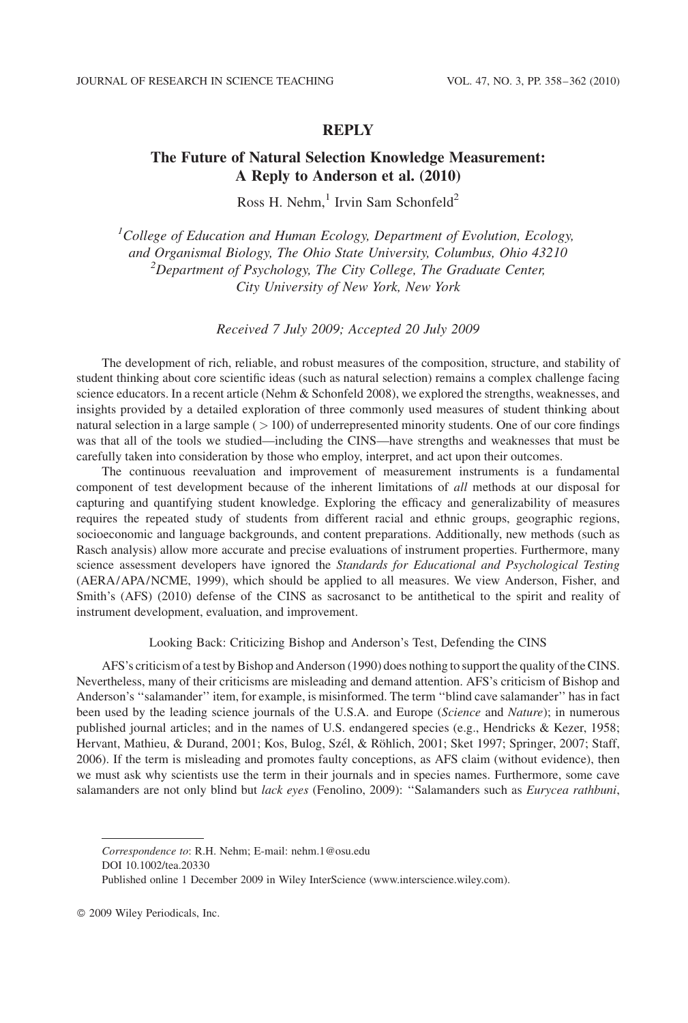### **REPLY**

# The Future of Natural Selection Knowledge Measurement: A Reply to Anderson et al. (2010)

Ross H. Nehm, $<sup>1</sup>$  Irvin Sam Schonfeld<sup>2</sup></sup>

<sup>1</sup>College of Education and Human Ecology, Department of Evolution, Ecology, and Organismal Biology, The Ohio State University, Columbus, Ohio 43210 <sup>2</sup>  $P^2$ Department of Psychology, The City College, The Graduate Center, City University of New York, New York

Received 7 July 2009; Accepted 20 July 2009

The development of rich, reliable, and robust measures of the composition, structure, and stability of student thinking about core scientific ideas (such as natural selection) remains a complex challenge facing science educators. In a recent article (Nehm & Schonfeld 2008), we explored the strengths, weaknesses, and insights provided by a detailed exploration of three commonly used measures of student thinking about natural selection in a large sample  $($   $>$  100) of underrepresented minority students. One of our core findings was that all of the tools we studied—including the CINS—have strengths and weaknesses that must be carefully taken into consideration by those who employ, interpret, and act upon their outcomes.

The continuous reevaluation and improvement of measurement instruments is a fundamental component of test development because of the inherent limitations of all methods at our disposal for capturing and quantifying student knowledge. Exploring the efficacy and generalizability of measures requires the repeated study of students from different racial and ethnic groups, geographic regions, socioeconomic and language backgrounds, and content preparations. Additionally, new methods (such as Rasch analysis) allow more accurate and precise evaluations of instrument properties. Furthermore, many science assessment developers have ignored the Standards for Educational and Psychological Testing (AERA/APA/NCME, 1999), which should be applied to all measures. We view Anderson, Fisher, and Smith's (AFS) (2010) defense of the CINS as sacrosanct to be antithetical to the spirit and reality of instrument development, evaluation, and improvement.

## Looking Back: Criticizing Bishop and Anderson's Test, Defending the CINS

AFS's criticism of a test by Bishop and Anderson (1990) does nothing to support the quality of the CINS. Nevertheless, many of their criticisms are misleading and demand attention. AFS's criticism of Bishop and Anderson's ''salamander'' item, for example, is misinformed. The term ''blind cave salamander'' has in fact been used by the leading science journals of the U.S.A. and Europe (Science and Nature); in numerous published journal articles; and in the names of U.S. endangered species (e.g., Hendricks & Kezer, 1958; Hervant, Mathieu, & Durand, 2001; Kos, Bulog, Szél, & Röhlich, 2001; Sket 1997; Springer, 2007; Staff, 2006). If the term is misleading and promotes faulty conceptions, as AFS claim (without evidence), then we must ask why scientists use the term in their journals and in species names. Furthermore, some cave salamanders are not only blind but lack eyes (Fenolino, 2009): "Salamanders such as Eurycea rathbuni,

Correspondence to: R.H. Nehm; E-mail: nehm.1@osu.edu

DOI 10.1002/tea.20330

Published online 1 December 2009 in Wiley InterScience (www.interscience.wiley.com).

2009 Wiley Periodicals, Inc.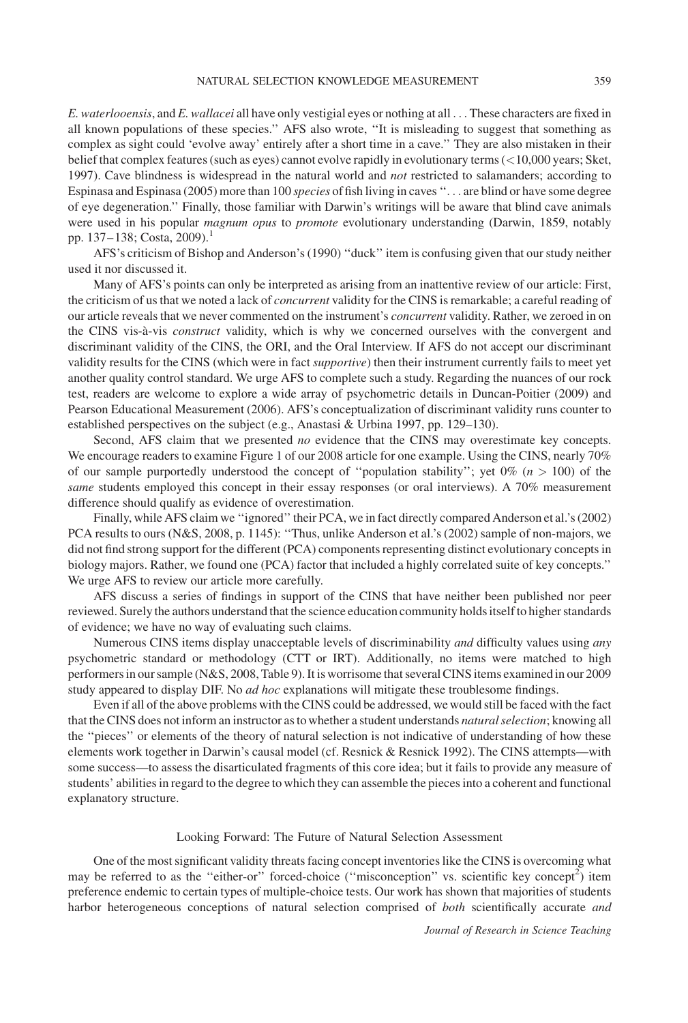E. waterlooensis, and E. wallacei all have only vestigial eyes or nothing at all ... These characters are fixed in all known populations of these species.'' AFS also wrote, ''It is misleading to suggest that something as complex as sight could 'evolve away' entirely after a short time in a cave.'' They are also mistaken in their belief that complex features (such as eyes) cannot evolve rapidly in evolutionary terms (<10,000 years; Sket, 1997). Cave blindness is widespread in the natural world and *not* restricted to salamanders; according to Espinasa and Espinasa (2005) more than 100 species of fish living in caves ''... are blind or have some degree of eye degeneration.'' Finally, those familiar with Darwin's writings will be aware that blind cave animals were used in his popular magnum opus to promote evolutionary understanding (Darwin, 1859, notably pp. 137–138; Costa, 2009).<sup>1</sup>

AFS's criticism of Bishop and Anderson's (1990) ''duck'' item is confusing given that our study neither used it nor discussed it.

Many of AFS's points can only be interpreted as arising from an inattentive review of our article: First, the criticism of us that we noted a lack of *concurrent* validity for the CINS is remarkable; a careful reading of our article reveals that we never commented on the instrument's *concurrent* validity. Rather, we zeroed in on the CINS vis-à-vis *construct* validity, which is why we concerned ourselves with the convergent and discriminant validity of the CINS, the ORI, and the Oral Interview. If AFS do not accept our discriminant validity results for the CINS (which were in fact supportive) then their instrument currently fails to meet yet another quality control standard. We urge AFS to complete such a study. Regarding the nuances of our rock test, readers are welcome to explore a wide array of psychometric details in Duncan-Poitier (2009) and Pearson Educational Measurement (2006). AFS's conceptualization of discriminant validity runs counter to established perspectives on the subject (e.g., Anastasi & Urbina 1997, pp. 129–130).

Second, AFS claim that we presented no evidence that the CINS may overestimate key concepts. We encourage readers to examine Figure 1 of our 2008 article for one example. Using the CINS, nearly 70% of our sample purportedly understood the concept of "population stability"; yet  $0\%$  ( $n > 100$ ) of the same students employed this concept in their essay responses (or oral interviews). A 70% measurement difference should qualify as evidence of overestimation.

Finally, while AFS claim we ''ignored'' their PCA, we in fact directly compared Anderson et al.'s (2002) PCA results to ours (N&S, 2008, p. 1145): ''Thus, unlike Anderson et al.'s (2002) sample of non-majors, we did not find strong support for the different (PCA) components representing distinct evolutionary concepts in biology majors. Rather, we found one (PCA) factor that included a highly correlated suite of key concepts.'' We urge AFS to review our article more carefully.

AFS discuss a series of findings in support of the CINS that have neither been published nor peer reviewed. Surely the authors understand that the science education community holds itself to higher standards of evidence; we have no way of evaluating such claims.

Numerous CINS items display unacceptable levels of discriminability *and* difficulty values using *any* psychometric standard or methodology (CTT or IRT). Additionally, no items were matched to high performers in our sample (N&S, 2008, Table 9). It is worrisome that several CINS items examined in our 2009 study appeared to display DIF. No *ad hoc* explanations will mitigate these troublesome findings.

Even if all of the above problems with the CINS could be addressed, we would still be faced with the fact that the CINS does not inform an instructor as to whether a student understands natural selection; knowing all the ''pieces'' or elements of the theory of natural selection is not indicative of understanding of how these elements work together in Darwin's causal model (cf. Resnick & Resnick 1992). The CINS attempts—with some success—to assess the disarticulated fragments of this core idea; but it fails to provide any measure of students' abilities in regard to the degree to which they can assemble the pieces into a coherent and functional explanatory structure.

#### Looking Forward: The Future of Natural Selection Assessment

One of the most significant validity threats facing concept inventories like the CINS is overcoming what may be referred to as the "either-or" forced-choice ("misconception" vs. scientific key concept<sup>2</sup>) item preference endemic to certain types of multiple-choice tests. Our work has shown that majorities of students harbor heterogeneous conceptions of natural selection comprised of both scientifically accurate and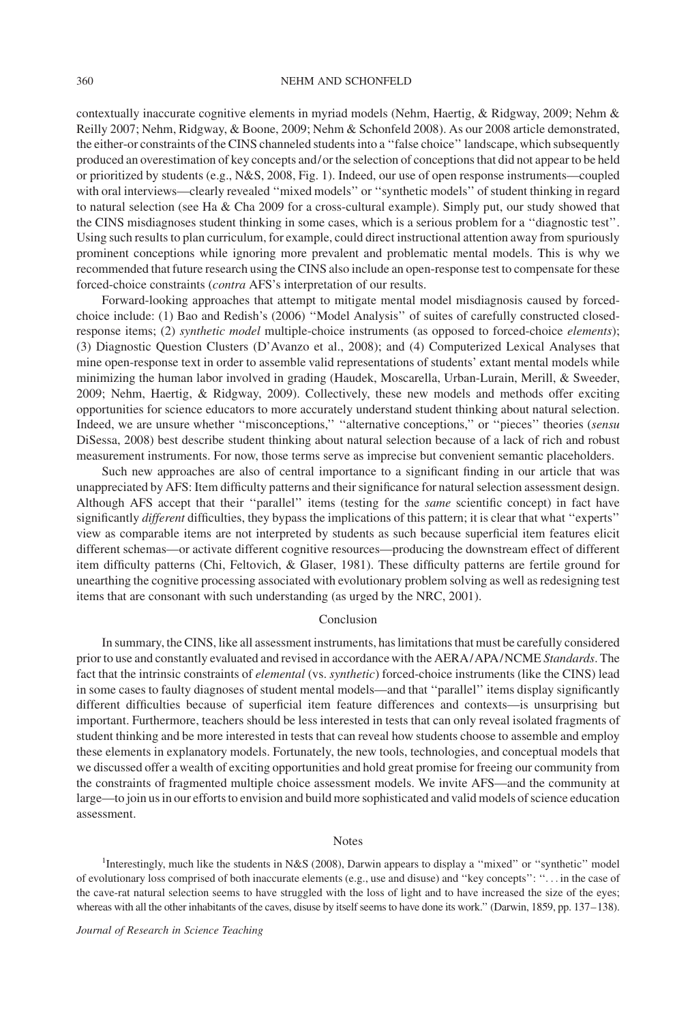contextually inaccurate cognitive elements in myriad models (Nehm, Haertig, & Ridgway, 2009; Nehm & Reilly 2007; Nehm, Ridgway, & Boone, 2009; Nehm & Schonfeld 2008). As our 2008 article demonstrated, the either-or constraints of the CINS channeled students into a ''false choice'' landscape, which subsequently produced an overestimation of key concepts and/or the selection of conceptions that did not appear to be held or prioritized by students (e.g., N&S, 2008, Fig. 1). Indeed, our use of open response instruments—coupled with oral interviews—clearly revealed "mixed models" or "synthetic models" of student thinking in regard to natural selection (see Ha & Cha 2009 for a cross-cultural example). Simply put, our study showed that the CINS misdiagnoses student thinking in some cases, which is a serious problem for a ''diagnostic test''. Using such results to plan curriculum, for example, could direct instructional attention away from spuriously prominent conceptions while ignoring more prevalent and problematic mental models. This is why we recommended that future research using the CINS also include an open-response test to compensate for these forced-choice constraints (contra AFS's interpretation of our results.

Forward-looking approaches that attempt to mitigate mental model misdiagnosis caused by forcedchoice include: (1) Bao and Redish's (2006) ''Model Analysis'' of suites of carefully constructed closedresponse items; (2) synthetic model multiple-choice instruments (as opposed to forced-choice elements); (3) Diagnostic Question Clusters (D'Avanzo et al., 2008); and (4) Computerized Lexical Analyses that mine open-response text in order to assemble valid representations of students' extant mental models while minimizing the human labor involved in grading (Haudek, Moscarella, Urban-Lurain, Merill, & Sweeder, 2009; Nehm, Haertig, & Ridgway, 2009). Collectively, these new models and methods offer exciting opportunities for science educators to more accurately understand student thinking about natural selection. Indeed, we are unsure whether "misconceptions," "alternative conceptions," or "pieces" theories (sensu DiSessa, 2008) best describe student thinking about natural selection because of a lack of rich and robust measurement instruments. For now, those terms serve as imprecise but convenient semantic placeholders.

Such new approaches are also of central importance to a significant finding in our article that was unappreciated by AFS: Item difficulty patterns and their significance for natural selection assessment design. Although AFS accept that their "parallel" items (testing for the same scientific concept) in fact have significantly different difficulties, they bypass the implications of this pattern; it is clear that what "experts" view as comparable items are not interpreted by students as such because superficial item features elicit different schemas—or activate different cognitive resources—producing the downstream effect of different item difficulty patterns (Chi, Feltovich, & Glaser, 1981). These difficulty patterns are fertile ground for unearthing the cognitive processing associated with evolutionary problem solving as well as redesigning test items that are consonant with such understanding (as urged by the NRC, 2001).

#### Conclusion

In summary, the CINS, like all assessment instruments, has limitations that must be carefully considered prior to use and constantly evaluated and revised in accordance with the AERA/APA/NCME Standards. The fact that the intrinsic constraints of elemental (vs. synthetic) forced-choice instruments (like the CINS) lead in some cases to faulty diagnoses of student mental models—and that ''parallel'' items display significantly different difficulties because of superficial item feature differences and contexts—is unsurprising but important. Furthermore, teachers should be less interested in tests that can only reveal isolated fragments of student thinking and be more interested in tests that can reveal how students choose to assemble and employ these elements in explanatory models. Fortunately, the new tools, technologies, and conceptual models that we discussed offer a wealth of exciting opportunities and hold great promise for freeing our community from the constraints of fragmented multiple choice assessment models. We invite AFS—and the community at large—to join us in our efforts to envision and build more sophisticated and valid models of science education assessment.

#### Notes

<sup>1</sup>Interestingly, much like the students in N&S (2008), Darwin appears to display a "mixed" or "synthetic" model of evolutionary loss comprised of both inaccurate elements (e.g., use and disuse) and ''key concepts'': ''... in the case of the cave-rat natural selection seems to have struggled with the loss of light and to have increased the size of the eyes; whereas with all the other inhabitants of the caves, disuse by itself seems to have done its work." (Darwin, 1859, pp. 137–138).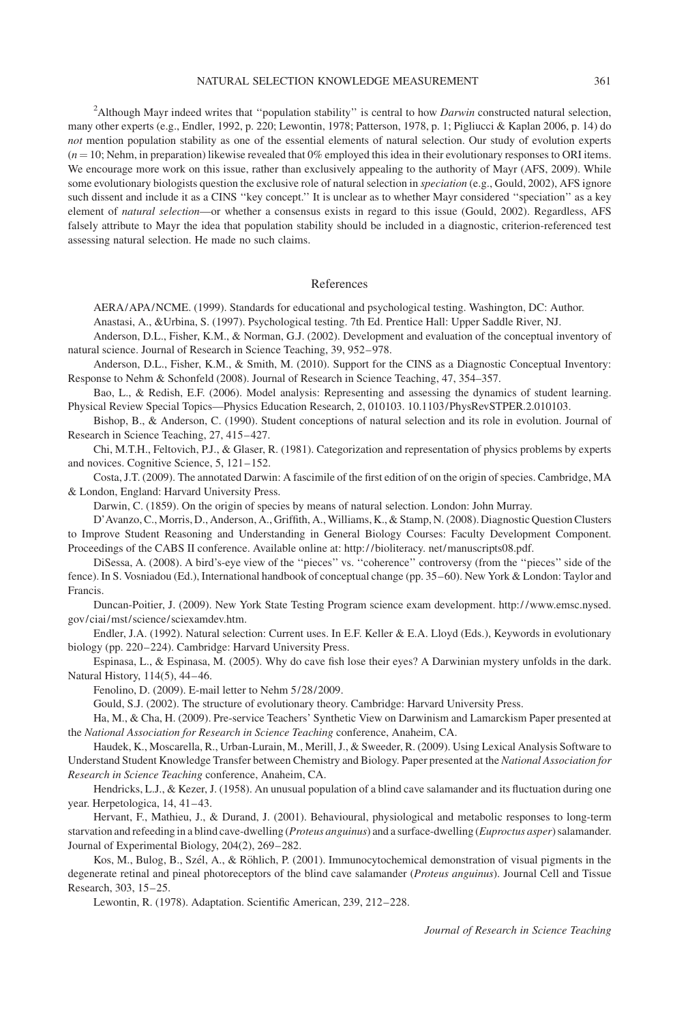#### NATURAL SELECTION KNOWLEDGE MEASUREMENT 361

<sup>2</sup>Although Mayr indeed writes that "population stability" is central to how *Darwin* constructed natural selection, many other experts (e.g., Endler, 1992, p. 220; Lewontin, 1978; Patterson, 1978, p. 1; Pigliucci & Kaplan 2006, p. 14) do not mention population stability as one of the essential elements of natural selection. Our study of evolution experts  $(n = 10;$  Nehm, in preparation) likewise revealed that 0% employed this idea in their evolutionary responses to ORI items. We encourage more work on this issue, rather than exclusively appealing to the authority of Mayr (AFS, 2009). While some evolutionary biologists question the exclusive role of natural selection in *speciation* (e.g., Gould, 2002), AFS ignore such dissent and include it as a CINS ''key concept.'' It is unclear as to whether Mayr considered ''speciation'' as a key element of natural selection—or whether a consensus exists in regard to this issue (Gould, 2002). Regardless, AFS falsely attribute to Mayr the idea that population stability should be included in a diagnostic, criterion-referenced test assessing natural selection. He made no such claims.

### References

AERA/APA/NCME. (1999). Standards for educational and psychological testing. Washington, DC: Author. Anastasi, A., &Urbina, S. (1997). Psychological testing. 7th Ed. Prentice Hall: Upper Saddle River, NJ.

Anderson, D.L., Fisher, K.M., & Norman, G.J. (2002). Development and evaluation of the conceptual inventory of

natural science. Journal of Research in Science Teaching, 39, 952–978.

Anderson, D.L., Fisher, K.M., & Smith, M. (2010). Support for the CINS as a Diagnostic Conceptual Inventory: Response to Nehm & Schonfeld (2008). Journal of Research in Science Teaching, 47, 354–357.

Bao, L., & Redish, E.F. (2006). Model analysis: Representing and assessing the dynamics of student learning. Physical Review Special Topics—Physics Education Research, 2, 010103. 10.1103/PhysRevSTPER.2.010103.

Bishop, B., & Anderson, C. (1990). Student conceptions of natural selection and its role in evolution. Journal of Research in Science Teaching, 27, 415–427.

Chi, M.T.H., Feltovich, P.J., & Glaser, R. (1981). Categorization and representation of physics problems by experts and novices. Cognitive Science, 5, 121–152.

Costa, J.T. (2009). The annotated Darwin: A fascimile of the first edition of on the origin of species. Cambridge, MA & London, England: Harvard University Press.

Darwin, C. (1859). On the origin of species by means of natural selection. London: John Murray.

D'Avanzo, C., Morris, D., Anderson, A., Griffith, A., Williams, K., & Stamp, N. (2008). Diagnostic Question Clusters to Improve Student Reasoning and Understanding in General Biology Courses: Faculty Development Component. Proceedings of the CABS II conference. Available online at: http:/ /bioliteracy. net/manuscripts08.pdf.

DiSessa, A. (2008). A bird's-eye view of the "pieces" vs. "coherence" controversy (from the "pieces" side of the fence). In S. Vosniadou (Ed.), International handbook of conceptual change (pp. 35–60). New York & London: Taylor and Francis.

Duncan-Poitier, J. (2009). New York State Testing Program science exam development. http:/ /www.emsc.nysed. gov/ciai/mst/science/sciexamdev.htm.

Endler, J.A. (1992). Natural selection: Current uses. In E.F. Keller & E.A. Lloyd (Eds.), Keywords in evolutionary biology (pp. 220–224). Cambridge: Harvard University Press.

Espinasa, L., & Espinasa, M. (2005). Why do cave fish lose their eyes? A Darwinian mystery unfolds in the dark. Natural History, 114(5), 44–46.

Fenolino, D. (2009). E-mail letter to Nehm 5/28/2009.

Gould, S.J. (2002). The structure of evolutionary theory. Cambridge: Harvard University Press.

Ha, M., & Cha, H. (2009). Pre-service Teachers' Synthetic View on Darwinism and Lamarckism Paper presented at the National Association for Research in Science Teaching conference, Anaheim, CA.

Haudek, K., Moscarella, R., Urban-Lurain, M., Merill, J., & Sweeder, R. (2009). Using Lexical Analysis Software to Understand Student Knowledge Transfer between Chemistry and Biology. Paper presented at the National Association for Research in Science Teaching conference, Anaheim, CA.

Hendricks, L.J., & Kezer, J. (1958). An unusual population of a blind cave salamander and its fluctuation during one year. Herpetologica, 14, 41–43.

Hervant, F., Mathieu, J., & Durand, J. (2001). Behavioural, physiological and metabolic responses to long-term starvation and refeeding in a blind cave-dwelling (Proteus anguinus) and a surface-dwelling (Euproctus asper) salamander. Journal of Experimental Biology, 204(2), 269–282.

Kos, M., Bulog, B., Szél, A., & Röhlich, P. (2001). Immunocytochemical demonstration of visual pigments in the degenerate retinal and pineal photoreceptors of the blind cave salamander (Proteus anguinus). Journal Cell and Tissue Research, 303, 15–25.

Lewontin, R. (1978). Adaptation. Scientific American, 239, 212–228.

Journal of Research in Science Teaching